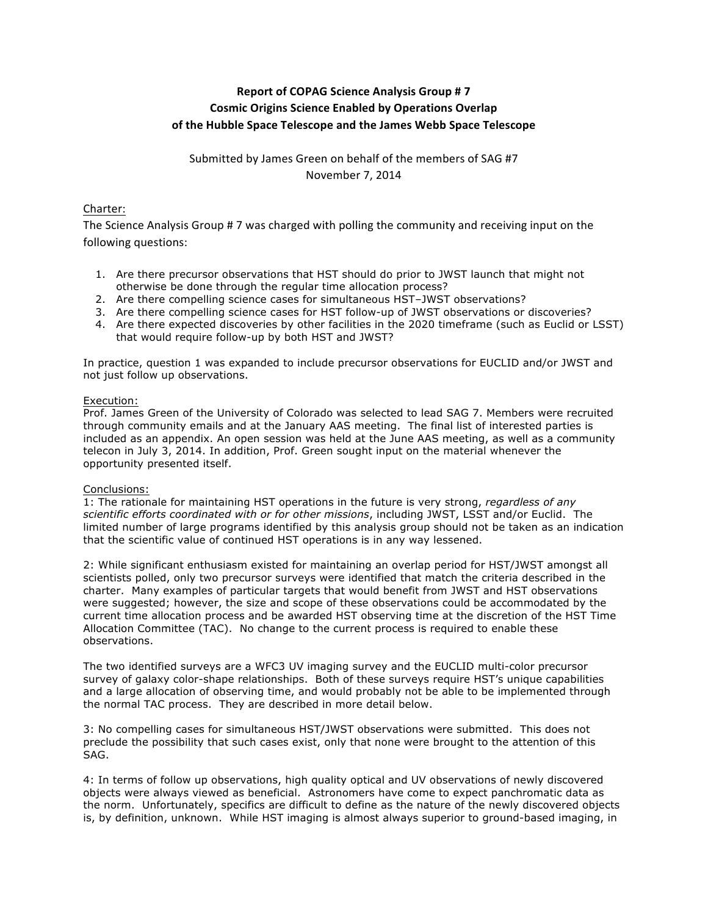# **Report of COPAG Science Analysis Group # 7 Cosmic Origins Science Enabled by Operations Overlap** of the Hubble Space Telescope and the James Webb Space Telescope

Submitted by James Green on behalf of the members of SAG #7 November 7, 2014

## Charter:

The Science Analysis Group # 7 was charged with polling the community and receiving input on the following questions:

- 1. Are there precursor observations that HST should do prior to JWST launch that might not otherwise be done through the regular time allocation process?
- 2. Are there compelling science cases for simultaneous HST–JWST observations?
- 3. Are there compelling science cases for HST follow-up of JWST observations or discoveries?
- 4. Are there expected discoveries by other facilities in the 2020 timeframe (such as Euclid or LSST) that would require follow-up by both HST and JWST?

In practice, question 1 was expanded to include precursor observations for EUCLID and/or JWST and not just follow up observations.

### Execution:

Prof. James Green of the University of Colorado was selected to lead SAG 7. Members were recruited through community emails and at the January AAS meeting. The final list of interested parties is included as an appendix. An open session was held at the June AAS meeting, as well as a community telecon in July 3, 2014. In addition, Prof. Green sought input on the material whenever the opportunity presented itself.

### Conclusions:

1: The rationale for maintaining HST operations in the future is very strong, *regardless of any scientific efforts coordinated with or for other missions*, including JWST, LSST and/or Euclid. The limited number of large programs identified by this analysis group should not be taken as an indication that the scientific value of continued HST operations is in any way lessened.

2: While significant enthusiasm existed for maintaining an overlap period for HST/JWST amongst all scientists polled, only two precursor surveys were identified that match the criteria described in the charter. Many examples of particular targets that would benefit from JWST and HST observations were suggested; however, the size and scope of these observations could be accommodated by the current time allocation process and be awarded HST observing time at the discretion of the HST Time Allocation Committee (TAC). No change to the current process is required to enable these observations.

The two identified surveys are a WFC3 UV imaging survey and the EUCLID multi-color precursor survey of galaxy color-shape relationships. Both of these surveys require HST's unique capabilities and a large allocation of observing time, and would probably not be able to be implemented through the normal TAC process. They are described in more detail below.

3: No compelling cases for simultaneous HST/JWST observations were submitted. This does not preclude the possibility that such cases exist, only that none were brought to the attention of this SAG.

4: In terms of follow up observations, high quality optical and UV observations of newly discovered objects were always viewed as beneficial. Astronomers have come to expect panchromatic data as the norm. Unfortunately, specifics are difficult to define as the nature of the newly discovered objects is, by definition, unknown. While HST imaging is almost always superior to ground-based imaging, in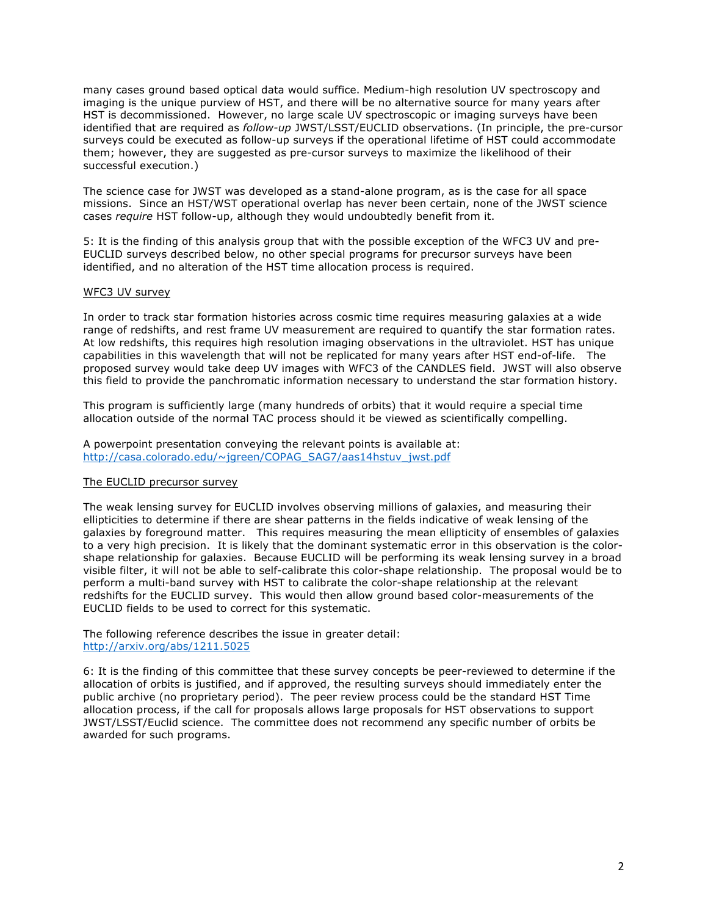many cases ground based optical data would suffice. Medium-high resolution UV spectroscopy and imaging is the unique purview of HST, and there will be no alternative source for many years after HST is decommissioned. However, no large scale UV spectroscopic or imaging surveys have been identified that are required as *follow-up* JWST/LSST/EUCLID observations. (In principle, the pre-cursor surveys could be executed as follow-up surveys if the operational lifetime of HST could accommodate them; however, they are suggested as pre-cursor surveys to maximize the likelihood of their successful execution.)

The science case for JWST was developed as a stand-alone program, as is the case for all space missions. Since an HST/WST operational overlap has never been certain, none of the JWST science cases *require* HST follow-up, although they would undoubtedly benefit from it.

5: It is the finding of this analysis group that with the possible exception of the WFC3 UV and pre-EUCLID surveys described below, no other special programs for precursor surveys have been identified, and no alteration of the HST time allocation process is required.

#### WFC3 UV survey

In order to track star formation histories across cosmic time requires measuring galaxies at a wide range of redshifts, and rest frame UV measurement are required to quantify the star formation rates. At low redshifts, this requires high resolution imaging observations in the ultraviolet. HST has unique capabilities in this wavelength that will not be replicated for many years after HST end-of-life. The proposed survey would take deep UV images with WFC3 of the CANDLES field. JWST will also observe this field to provide the panchromatic information necessary to understand the star formation history.

This program is sufficiently large (many hundreds of orbits) that it would require a special time allocation outside of the normal TAC process should it be viewed as scientifically compelling.

A powerpoint presentation conveying the relevant points is available at: http://casa.colorado.edu/~jgreen/COPAG\_SAG7/aas14hstuv\_jwst.pdf

### The EUCLID precursor survey

The weak lensing survey for EUCLID involves observing millions of galaxies, and measuring their ellipticities to determine if there are shear patterns in the fields indicative of weak lensing of the galaxies by foreground matter. This requires measuring the mean ellipticity of ensembles of galaxies to a very high precision. It is likely that the dominant systematic error in this observation is the colorshape relationship for galaxies. Because EUCLID will be performing its weak lensing survey in a broad visible filter, it will not be able to self-calibrate this color-shape relationship. The proposal would be to perform a multi-band survey with HST to calibrate the color-shape relationship at the relevant redshifts for the EUCLID survey. This would then allow ground based color-measurements of the EUCLID fields to be used to correct for this systematic.

The following reference describes the issue in greater detail: http://arxiv.org/abs/1211.5025

6: It is the finding of this committee that these survey concepts be peer-reviewed to determine if the allocation of orbits is justified, and if approved, the resulting surveys should immediately enter the public archive (no proprietary period). The peer review process could be the standard HST Time allocation process, if the call for proposals allows large proposals for HST observations to support JWST/LSST/Euclid science. The committee does not recommend any specific number of orbits be awarded for such programs.